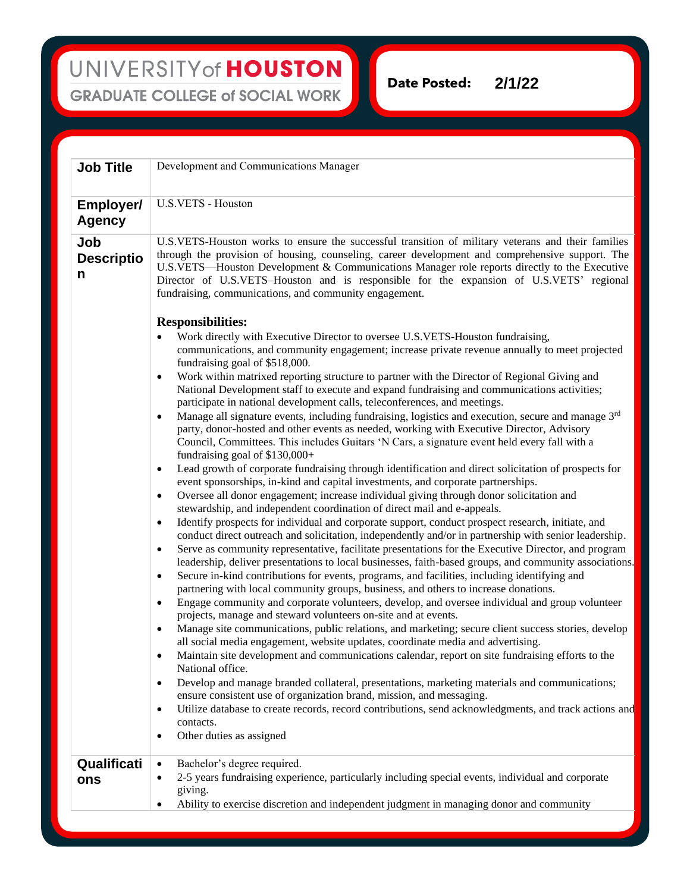**Date Posted: 2/1/22**

| <b>Job Title</b>                  | Development and Communications Manager                                                                                                                                                                                                                                                                                                                                                                                                                                                                                                                                                                                                                                                                                                                                                                                                                                                                                                                                                                                                                                                                                                                                                                                                                                                                                                                                                                                                                                                                                                                                                                                                                                                                                                                                                                                                                                                                                                                                                                                                                                                                                                                                                                                                                                                                                                                                                                                                                                                                                                                                                                                                                                                                                                                                                                                                                                                                                                                                                                                                                                                                                                                                                                                                         |
|-----------------------------------|------------------------------------------------------------------------------------------------------------------------------------------------------------------------------------------------------------------------------------------------------------------------------------------------------------------------------------------------------------------------------------------------------------------------------------------------------------------------------------------------------------------------------------------------------------------------------------------------------------------------------------------------------------------------------------------------------------------------------------------------------------------------------------------------------------------------------------------------------------------------------------------------------------------------------------------------------------------------------------------------------------------------------------------------------------------------------------------------------------------------------------------------------------------------------------------------------------------------------------------------------------------------------------------------------------------------------------------------------------------------------------------------------------------------------------------------------------------------------------------------------------------------------------------------------------------------------------------------------------------------------------------------------------------------------------------------------------------------------------------------------------------------------------------------------------------------------------------------------------------------------------------------------------------------------------------------------------------------------------------------------------------------------------------------------------------------------------------------------------------------------------------------------------------------------------------------------------------------------------------------------------------------------------------------------------------------------------------------------------------------------------------------------------------------------------------------------------------------------------------------------------------------------------------------------------------------------------------------------------------------------------------------------------------------------------------------------------------------------------------------------------------------------------------------------------------------------------------------------------------------------------------------------------------------------------------------------------------------------------------------------------------------------------------------------------------------------------------------------------------------------------------------------------------------------------------------------------------------------------------------|
| <b>Employer/</b><br><b>Agency</b> | <b>U.S.VETS - Houston</b>                                                                                                                                                                                                                                                                                                                                                                                                                                                                                                                                                                                                                                                                                                                                                                                                                                                                                                                                                                                                                                                                                                                                                                                                                                                                                                                                                                                                                                                                                                                                                                                                                                                                                                                                                                                                                                                                                                                                                                                                                                                                                                                                                                                                                                                                                                                                                                                                                                                                                                                                                                                                                                                                                                                                                                                                                                                                                                                                                                                                                                                                                                                                                                                                                      |
| Job<br><b>Descriptio</b><br>n     | U.S.VETS-Houston works to ensure the successful transition of military veterans and their families<br>through the provision of housing, counseling, career development and comprehensive support. The<br>U.S.VETS—Houston Development & Communications Manager role reports directly to the Executive<br>Director of U.S.VETS-Houston and is responsible for the expansion of U.S.VETS' regional<br>fundraising, communications, and community engagement.<br><b>Responsibilities:</b><br>Work directly with Executive Director to oversee U.S.VETS-Houston fundraising,<br>communications, and community engagement; increase private revenue annually to meet projected<br>fundraising goal of \$518,000.<br>Work within matrixed reporting structure to partner with the Director of Regional Giving and<br>$\bullet$<br>National Development staff to execute and expand fundraising and communications activities;<br>participate in national development calls, teleconferences, and meetings.<br>Manage all signature events, including fundraising, logistics and execution, secure and manage 3rd<br>$\bullet$<br>party, donor-hosted and other events as needed, working with Executive Director, Advisory<br>Council, Committees. This includes Guitars 'N Cars, a signature event held every fall with a<br>fundraising goal of $$130,000+$<br>Lead growth of corporate fundraising through identification and direct solicitation of prospects for<br>$\bullet$<br>event sponsorships, in-kind and capital investments, and corporate partnerships.<br>Oversee all donor engagement; increase individual giving through donor solicitation and<br>$\bullet$<br>stewardship, and independent coordination of direct mail and e-appeals.<br>Identify prospects for individual and corporate support, conduct prospect research, initiate, and<br>$\bullet$<br>conduct direct outreach and solicitation, independently and/or in partnership with senior leadership.<br>Serve as community representative, facilitate presentations for the Executive Director, and program<br>$\bullet$<br>leadership, deliver presentations to local businesses, faith-based groups, and community associations.<br>Secure in-kind contributions for events, programs, and facilities, including identifying and<br>$\bullet$<br>partnering with local community groups, business, and others to increase donations.<br>Engage community and corporate volunteers, develop, and oversee individual and group volunteer<br>$\bullet$<br>projects, manage and steward volunteers on-site and at events.<br>Manage site communications, public relations, and marketing; secure client success stories, develop<br>$\bullet$<br>all social media engagement, website updates, coordinate media and advertising.<br>Maintain site development and communications calendar, report on site fundraising efforts to the<br>٠<br>National office.<br>Develop and manage branded collateral, presentations, marketing materials and communications;<br>٠<br>ensure consistent use of organization brand, mission, and messaging.<br>Utilize database to create records, record contributions, send acknowledgments, and track actions and<br>٠<br>contacts. |
|                                   | Other duties as assigned<br>$\bullet$                                                                                                                                                                                                                                                                                                                                                                                                                                                                                                                                                                                                                                                                                                                                                                                                                                                                                                                                                                                                                                                                                                                                                                                                                                                                                                                                                                                                                                                                                                                                                                                                                                                                                                                                                                                                                                                                                                                                                                                                                                                                                                                                                                                                                                                                                                                                                                                                                                                                                                                                                                                                                                                                                                                                                                                                                                                                                                                                                                                                                                                                                                                                                                                                          |
| Qualificati<br>ons                | Bachelor's degree required.<br>$\bullet$<br>2-5 years fundraising experience, particularly including special events, individual and corporate<br>٠<br>giving.<br>Ability to exercise discretion and independent judgment in managing donor and community<br>$\bullet$                                                                                                                                                                                                                                                                                                                                                                                                                                                                                                                                                                                                                                                                                                                                                                                                                                                                                                                                                                                                                                                                                                                                                                                                                                                                                                                                                                                                                                                                                                                                                                                                                                                                                                                                                                                                                                                                                                                                                                                                                                                                                                                                                                                                                                                                                                                                                                                                                                                                                                                                                                                                                                                                                                                                                                                                                                                                                                                                                                          |